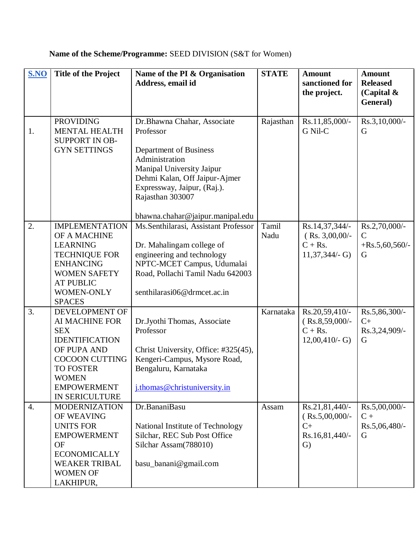| S.NO             | <b>Title of the Project</b>                                                                                                                                                                 | Name of the PI & Organisation<br>Address, email id                                                                                                                                                                                        | <b>STATE</b>  | <b>Amount</b><br>sanctioned for<br>the project.                              | <b>Amount</b><br><b>Released</b><br>(Capital $\&$<br>General) |
|------------------|---------------------------------------------------------------------------------------------------------------------------------------------------------------------------------------------|-------------------------------------------------------------------------------------------------------------------------------------------------------------------------------------------------------------------------------------------|---------------|------------------------------------------------------------------------------|---------------------------------------------------------------|
| 1.               | <b>PROVIDING</b><br><b>MENTAL HEALTH</b><br><b>SUPPORT IN OB-</b><br><b>GYN SETTINGS</b>                                                                                                    | Dr.Bhawna Chahar, Associate<br>Professor<br>Department of Business<br>Administration<br>Manipal University Jaipur<br>Dehmi Kalan, Off Jaipur-Ajmer<br>Expressway, Jaipur, (Raj.).<br>Rajasthan 303007<br>bhawna.chahar@jaipur.manipal.edu | Rajasthan     | Rs.11,85,000/-<br>G Nil-C                                                    | Rs.3,10,000/-<br>G                                            |
| 2.               | <b>IMPLEMENTATION</b><br>OF A MACHINE<br><b>LEARNING</b><br><b>TECHNIQUE FOR</b><br><b>ENHANCING</b><br><b>WOMEN SAFETY</b><br><b>AT PUBLIC</b><br><b>WOMEN-ONLY</b><br><b>SPACES</b>       | Ms.Senthilarasi, Assistant Professor<br>Dr. Mahalingam college of<br>engineering and technology<br>NPTC-MCET Campus, Udumalai<br>Road, Pollachi Tamil Nadu 642003<br>senthilarasi06@drmcet.ac.in                                          | Tamil<br>Nadu | Rs.14,37,344/-<br>$(Rs. 3,00,00/-$<br>$C + Rs.$<br>$11,37,344/- G$           | Rs.2,70,000/-<br>C<br>$+$ Rs.5,60,560/-<br>G                  |
| 3.               | DEVELOPMENT OF<br>AI MACHINE FOR<br><b>SEX</b><br><b>IDENTIFICATION</b><br>OF PUPA AND<br><b>COCOON CUTTING</b><br><b>TO FOSTER</b><br><b>WOMEN</b><br><b>EMPOWERMENT</b><br>IN SERICULTURE | Dr.Jyothi Thomas, Associate<br>Professor<br>Christ University, Office: #325(45),<br>Kengeri-Campus, Mysore Road,<br>Bengaluru, Karnataka<br>j.thomas@christuniversity.in                                                                  | Karnataka     | Rs.20,59,410/-<br>$(Rs.8, 59, 000/-$<br>$C + Rs.$<br>$12,00,410/-$ G)        | Rs.5,86,300/-<br>$C+$<br>Rs.3,24,909/-<br>G                   |
| $\overline{4}$ . | <b>MODERNIZATION</b><br>OF WEAVING<br><b>UNITS FOR</b><br><b>EMPOWERMENT</b><br><b>OF</b><br><b>ECONOMICALLY</b><br><b>WEAKER TRIBAL</b><br><b>WOMEN OF</b><br>LAKHIPUR,                    | Dr.BananiBasu<br>National Institute of Technology<br>Silchar, REC Sub Post Office<br>Silchar Assam(788010)<br>basu_banani@gmail.com                                                                                                       | Assam         | Rs.21,81,440/-<br>$(Rs.5,00,000/-$<br>$C+$<br>Rs.16,81,440/-<br>$\mathrm{G}$ | $Rs.5,00,000/$ -<br>$C +$<br>Rs.5,06,480/-<br>G               |

## **Name of the Scheme/Programme:** SEED DIVISION (S&T for Women)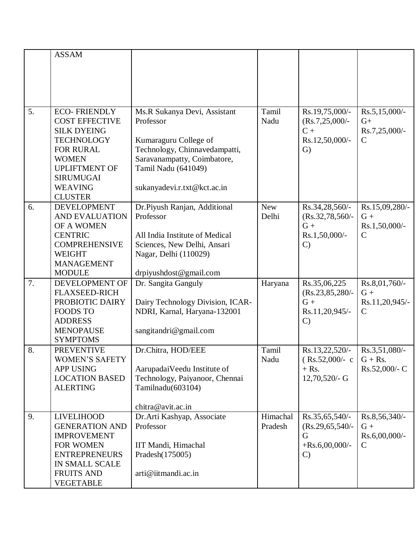|    | <b>ASSAM</b>                       |                                  |            |                                 |                                |
|----|------------------------------------|----------------------------------|------------|---------------------------------|--------------------------------|
|    |                                    |                                  |            |                                 |                                |
|    |                                    |                                  |            |                                 |                                |
|    |                                    |                                  |            |                                 |                                |
|    |                                    |                                  |            |                                 |                                |
|    |                                    |                                  |            |                                 |                                |
| 5. | <b>ECO-FRIENDLY</b>                | Ms.R Sukanya Devi, Assistant     | Tamil      | Rs.19,75,000/-                  | $Rs.5,15,000/-$                |
|    | <b>COST EFFECTIVE</b>              | Professor                        | Nadu       | $(Rs.7, 25, 000/-$              | $G+$                           |
|    | <b>SILK DYEING</b>                 |                                  |            | $C +$                           | Rs.7,25,000/-                  |
|    | <b>TECHNOLOGY</b>                  | Kumaraguru College of            |            | Rs.12,50,000/-                  | $\mathsf{C}$                   |
|    | <b>FOR RURAL</b>                   | Technology, Chinnavedampatti,    |            | $\mathrm{G}$                    |                                |
|    | <b>WOMEN</b>                       | Saravanampatty, Coimbatore,      |            |                                 |                                |
|    | <b>UPLIFTMENT OF</b>               | Tamil Nadu (641049)              |            |                                 |                                |
|    | <b>SIRUMUGAI</b>                   |                                  |            |                                 |                                |
|    | <b>WEAVING</b>                     | sukanyadevi.r.txt@kct.ac.in      |            |                                 |                                |
|    | <b>CLUSTER</b>                     |                                  |            |                                 |                                |
| 6. | <b>DEVELOPMENT</b>                 | Dr.Piyush Ranjan, Additional     | <b>New</b> | Rs.34,28,560/-                  | Rs.15,09,280/-                 |
|    | <b>AND EVALUATION</b>              | Professor                        | Delhi      | $(Rs.32, 78, 560/$ -            | $G +$                          |
|    | OF A WOMEN                         |                                  |            | $G +$                           | Rs.1,50,000/-                  |
|    | <b>CENTRIC</b>                     | All India Institute of Medical   |            | Rs.1,50,000/-                   | $\mathsf{C}$                   |
|    | <b>COMPREHENSIVE</b>               | Sciences, New Delhi, Ansari      |            | $\mathcal{C}$                   |                                |
|    | <b>WEIGHT</b>                      | Nagar, Delhi (110029)            |            |                                 |                                |
|    | <b>MANAGEMENT</b>                  |                                  |            |                                 |                                |
|    | <b>MODULE</b>                      | drpiyushdost@gmail.com           |            |                                 |                                |
| 7. | DEVELOPMENT OF                     | Dr. Sangita Ganguly              | Haryana    | Rs.35,06,225                    | Rs.8,01,760/-                  |
|    | <b>FLAXSEED-RICH</b>               |                                  |            | (Rs.23, 85, 280/                | $G +$                          |
|    | PROBIOTIC DAIRY<br><b>FOODS TO</b> | Dairy Technology Division, ICAR- |            | $G +$                           | Rs.11,20,945/-<br>$\mathsf{C}$ |
|    | <b>ADDRESS</b>                     | NDRI, Karnal, Haryana-132001     |            | Rs.11,20,945/-<br>$\mathcal{C}$ |                                |
|    | <b>MENOPAUSE</b>                   | sangitandri@gmail.com            |            |                                 |                                |
|    | <b>SYMPTOMS</b>                    |                                  |            |                                 |                                |
| 8. | <b>PREVENTIVE</b>                  | Dr.Chitra, HOD/EEE               | Tamil      | Rs.13,22,520/-                  | Rs.3,51,080/-                  |
|    | <b>WOMEN'S SAFETY</b>              |                                  | Nadu       | $(Rs.52,000/- c)$               | $G + Rs.$                      |
|    | <b>APP USING</b>                   | AarupadaiVeedu Institute of      |            | $+$ Rs.                         | Rs.52,000/- C                  |
|    | <b>LOCATION BASED</b>              | Technology, Paiyanoor, Chennai   |            | 12,70,520/- G                   |                                |
|    | <b>ALERTING</b>                    | Tamilnadu(603104)                |            |                                 |                                |
|    |                                    |                                  |            |                                 |                                |
|    |                                    | chitra@avit.ac.in                |            |                                 |                                |
| 9. | <b>LIVELIHOOD</b>                  | Dr. Arti Kashyap, Associate      | Himachal   | Rs.35,65,540/-                  | Rs.8,56,340/-                  |
|    | <b>GENERATION AND</b>              | Professor                        | Pradesh    | $(Rs.29, 65, 540/-$             | $G +$                          |
|    | <b>IMPROVEMENT</b>                 |                                  |            | G                               | Rs.6,00,000/-                  |
|    | FOR WOMEN                          | IIT Mandi, Himachal              |            | $+$ Rs.6,00,000/-               | $\mathsf{C}$                   |
|    | <b>ENTREPRENEURS</b>               | Pradesh(175005)                  |            | $\mathcal{C}$                   |                                |
|    | IN SMALL SCALE                     |                                  |            |                                 |                                |
|    | <b>FRUITS AND</b>                  | arti@iitmandi.ac.in              |            |                                 |                                |
|    | <b>VEGETABLE</b>                   |                                  |            |                                 |                                |